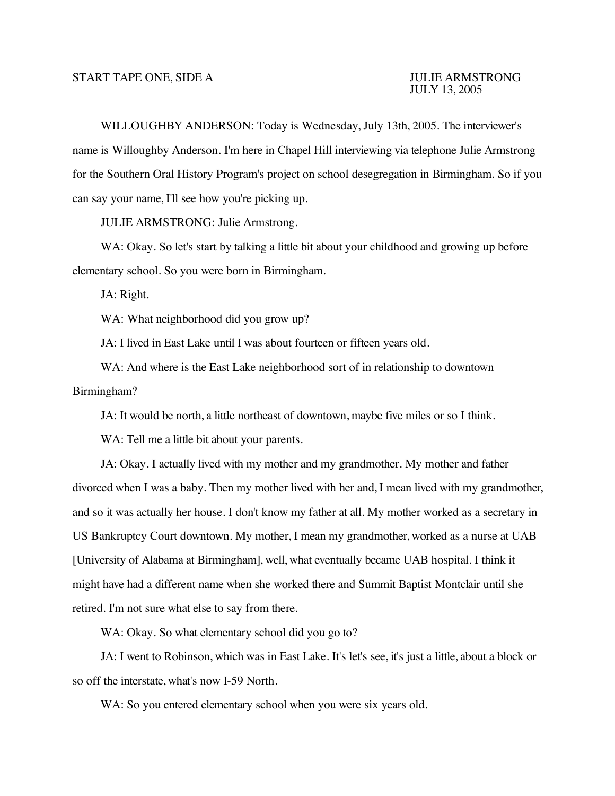WILLOUGHBY ANDERSON: Today is Wednesday, July 13th, 2005. The interviewer's name is Willoughby Anderson. I'm here in Chapel Hill interviewing via telephone Julie Armstrong for the Southern Oral History Program's project on school desegregation in Birmingham. So if you can say your name, I'll see how you're picking up.

JULIE ARMSTRONG: Julie Armstrong.

WA: Okay. So let's start by talking a little bit about your childhood and growing up before elementary school. So you were born in Birmingham.

JA: Right.

WA: What neighborhood did you grow up?

JA: I lived in East Lake until I was about fourteen or fifteen years old.

WA: And where is the East Lake neighborhood sort of in relationship to downtown Birmingham?

JA: It would be north, a little northeast of downtown, maybe five miles or so I think.

WA: Tell me a little bit about your parents.

JA: Okay. I actually lived with my mother and my grandmother. My mother and father divorced when I was a baby. Then my mother lived with her and, I mean lived with my grandmother, and so it was actually her house. I don't know my father at all. My mother worked as a secretary in US Bankruptcy Court downtown. My mother, I mean my grandmother, worked as a nurse at UAB [University of Alabama at Birmingham], well, what eventually became UAB hospital. I think it might have had a different name when she worked there and Summit Baptist Montclair until she retired. I'm not sure what else to say from there.

WA: Okay. So what elementary school did you go to?

JA: I went to Robinson, which was in East Lake. It's let's see, it's just a little, about a block or so off the interstate, what's now I-59 North.

WA: So you entered elementary school when you were six years old.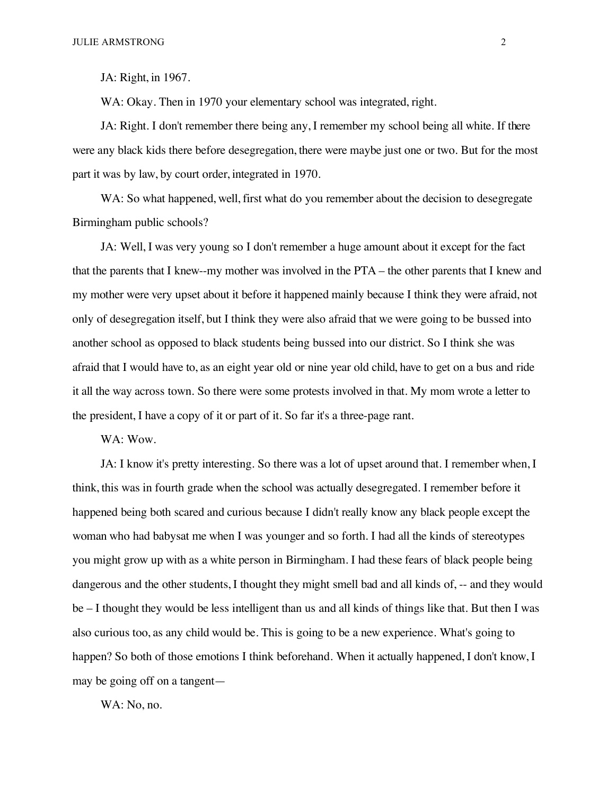JA: Right, in 1967.

WA: Okay. Then in 1970 your elementary school was integrated, right.

JA: Right. I don't remember there being any, I remember my school being all white. If there were any black kids there before desegregation, there were maybe just one or two. But for the most part it was by law, by court order, integrated in 1970.

WA: So what happened, well, first what do you remember about the decision to desegregate Birmingham public schools?

JA: Well, I was very young so I don't remember a huge amount about it except for the fact that the parents that I knew--my mother was involved in the PTA – the other parents that I knew and my mother were very upset about it before it happened mainly because I think they were afraid, not only of desegregation itself, but I think they were also afraid that we were going to be bussed into another school as opposed to black students being bussed into our district. So I think she was afraid that I would have to, as an eight year old or nine year old child, have to get on a bus and ride it all the way across town. So there were some protests involved in that. My mom wrote a letter to the president, I have a copy of it or part of it. So far it's a three-page rant.

WA: Wow.

JA: I know it's pretty interesting. So there was a lot of upset around that. I remember when, I think, this was in fourth grade when the school was actually desegregated. I remember before it happened being both scared and curious because I didn't really know any black people except the woman who had babysat me when I was younger and so forth. I had all the kinds of stereotypes you might grow up with as a white person in Birmingham. I had these fears of black people being dangerous and the other students, I thought they might smell bad and all kinds of, -- and they would be – I thought they would be less intelligent than us and all kinds of things like that. But then I was also curious too, as any child would be. This is going to be a new experience. What's going to happen? So both of those emotions I think beforehand. When it actually happened, I don't know, I may be going off on a tangent—

WA: No, no.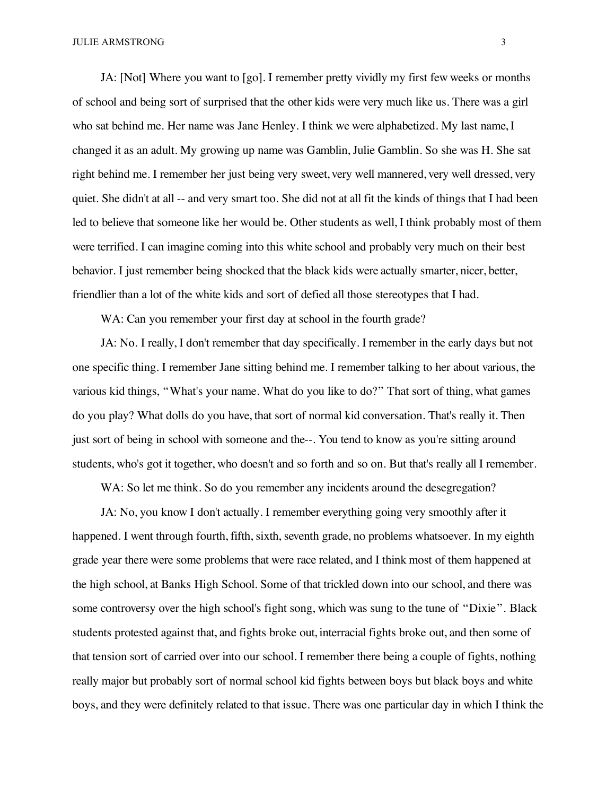JA: [Not] Where you want to [go]. I remember pretty vividly my first few weeks or months of school and being sort of surprised that the other kids were very much like us. There was a girl who sat behind me. Her name was Jane Henley. I think we were alphabetized. My last name, I changed it as an adult. My growing up name was Gamblin, Julie Gamblin. So she was H. She sat right behind me. I remember her just being very sweet, very well mannered, very well dressed, very quiet. She didn't at all -- and very smart too. She did not at all fit the kinds of things that I had been led to believe that someone like her would be. Other students as well, I think probably most of them were terrified. I can imagine coming into this white school and probably very much on their best behavior. I just remember being shocked that the black kids were actually smarter, nicer, better, friendlier than a lot of the white kids and sort of defied all those stereotypes that I had.

WA: Can you remember your first day at school in the fourth grade?

JA: No. I really, I don't remember that day specifically. I remember in the early days but not one specific thing. I remember Jane sitting behind me. I remember talking to her about various, the various kid things, "What's your name. What do you like to do?" That sort of thing, what games do you play? What dolls do you have, that sort of normal kid conversation. That's really it. Then just sort of being in school with someone and the--. You tend to know as you're sitting around students, who's got it together, who doesn't and so forth and so on. But that's really all I remember.

WA: So let me think. So do you remember any incidents around the desegregation?

JA: No, you know I don't actually. I remember everything going very smoothly after it happened. I went through fourth, fifth, sixth, seventh grade, no problems whatsoever. In my eighth grade year there were some problems that were race related, and I think most of them happened at the high school, at Banks High School. Some of that trickled down into our school, and there was some controversy over the high school's fight song, which was sung to the tune of "Dixie". Black students protested against that, and fights broke out, interracial fights broke out, and then some of that tension sort of carried over into our school. I remember there being a couple of fights, nothing really major but probably sort of normal school kid fights between boys but black boys and white boys, and they were definitely related to that issue. There was one particular day in which I think the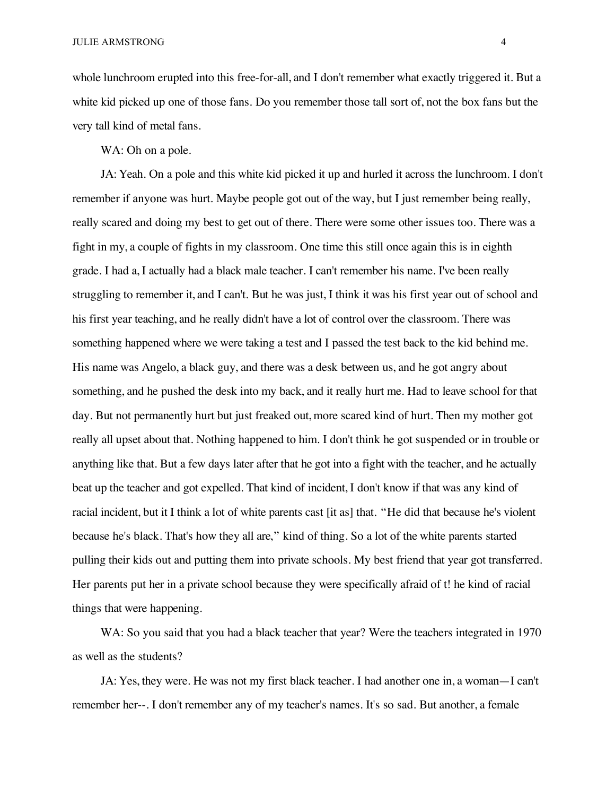JULIE ARMSTRONG 4

whole lunchroom erupted into this free-for-all, and I don't remember what exactly triggered it. But a white kid picked up one of those fans. Do you remember those tall sort of, not the box fans but the very tall kind of metal fans.

WA: Oh on a pole.

JA: Yeah. On a pole and this white kid picked it up and hurled it across the lunchroom. I don't remember if anyone was hurt. Maybe people got out of the way, but I just remember being really, really scared and doing my best to get out of there. There were some other issues too. There was a fight in my, a couple of fights in my classroom. One time this still once again this is in eighth grade. I had a, I actually had a black male teacher. I can't remember his name. I've been really struggling to remember it, and I can't. But he was just, I think it was his first year out of school and his first year teaching, and he really didn't have a lot of control over the classroom. There was something happened where we were taking a test and I passed the test back to the kid behind me. His name was Angelo, a black guy, and there was a desk between us, and he got angry about something, and he pushed the desk into my back, and it really hurt me. Had to leave school for that day. But not permanently hurt but just freaked out, more scared kind of hurt. Then my mother got really all upset about that. Nothing happened to him. I don't think he got suspended or in trouble or anything like that. But a few days later after that he got into a fight with the teacher, and he actually beat up the teacher and got expelled. That kind of incident, I don't know if that was any kind of racial incident, but it I think a lot of white parents cast [it as] that. "He did that because he's violent because he's black. That's how they all are," kind of thing. So a lot of the white parents started pulling their kids out and putting them into private schools. My best friend that year got transferred. Her parents put her in a private school because they were specifically afraid of t! he kind of racial things that were happening.

WA: So you said that you had a black teacher that year? Were the teachers integrated in 1970 as well as the students?

JA: Yes, they were. He was not my first black teacher. I had another one in, a woman—I can't remember her--. I don't remember any of my teacher's names. It's so sad. But another, a female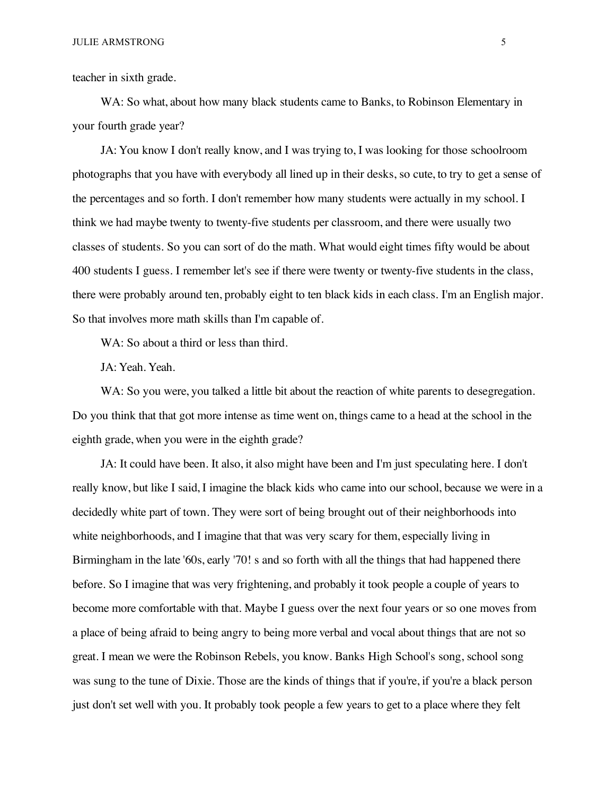teacher in sixth grade.

WA: So what, about how many black students came to Banks, to Robinson Elementary in your fourth grade year?

JA: You know I don't really know, and I was trying to, I was looking for those schoolroom photographs that you have with everybody all lined up in their desks, so cute, to try to get a sense of the percentages and so forth. I don't remember how many students were actually in my school. I think we had maybe twenty to twenty-five students per classroom, and there were usually two classes of students. So you can sort of do the math. What would eight times fifty would be about 400 students I guess. I remember let's see if there were twenty or twenty-five students in the class, there were probably around ten, probably eight to ten black kids in each class. I'm an English major. So that involves more math skills than I'm capable of.

WA: So about a third or less than third.

JA: Yeah. Yeah.

WA: So you were, you talked a little bit about the reaction of white parents to desegregation. Do you think that that got more intense as time went on, things came to a head at the school in the eighth grade, when you were in the eighth grade?

JA: It could have been. It also, it also might have been and I'm just speculating here. I don't really know, but like I said, I imagine the black kids who came into our school, because we were in a decidedly white part of town. They were sort of being brought out of their neighborhoods into white neighborhoods, and I imagine that that was very scary for them, especially living in Birmingham in the late '60s, early '70! s and so forth with all the things that had happened there before. So I imagine that was very frightening, and probably it took people a couple of years to become more comfortable with that. Maybe I guess over the next four years or so one moves from a place of being afraid to being angry to being more verbal and vocal about things that are not so great. I mean we were the Robinson Rebels, you know. Banks High School's song, school song was sung to the tune of Dixie. Those are the kinds of things that if you're, if you're a black person just don't set well with you. It probably took people a few years to get to a place where they felt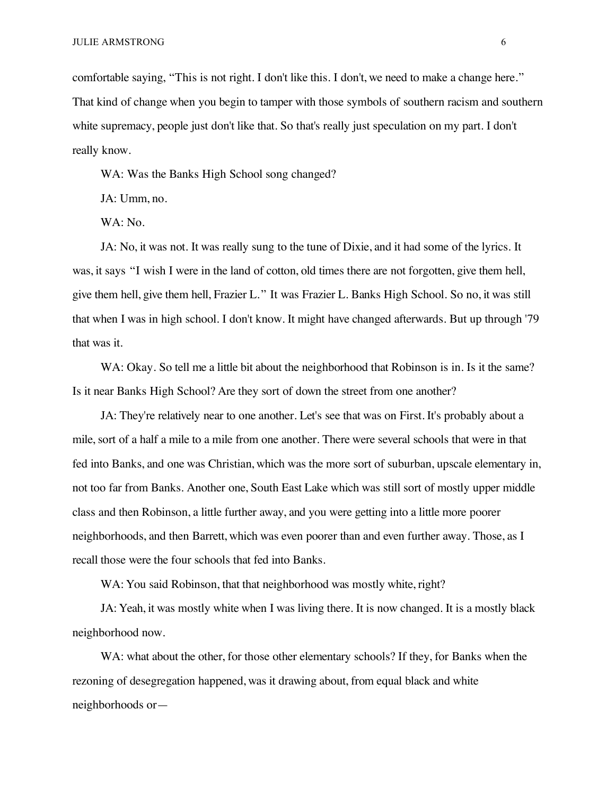comfortable saying, "This is not right. I don't like this. I don't, we need to make a change here." That kind of change when you begin to tamper with those symbols of southern racism and southern white supremacy, people just don't like that. So that's really just speculation on my part. I don't really know.

WA: Was the Banks High School song changed?

JA: Umm, no.

WA: No.

JA: No, it was not. It was really sung to the tune of Dixie, and it had some of the lyrics. It was, it says "I wish I were in the land of cotton, old times there are not forgotten, give them hell, give them hell, give them hell, Frazier L." It was Frazier L. Banks High School. So no, it was still that when I was in high school. I don't know. It might have changed afterwards. But up through '79 that was it.

WA: Okay. So tell me a little bit about the neighborhood that Robinson is in. Is it the same? Is it near Banks High School? Are they sort of down the street from one another?

JA: They're relatively near to one another. Let's see that was on First. It's probably about a mile, sort of a half a mile to a mile from one another. There were several schools that were in that fed into Banks, and one was Christian, which was the more sort of suburban, upscale elementary in, not too far from Banks. Another one, South East Lake which was still sort of mostly upper middle class and then Robinson, a little further away, and you were getting into a little more poorer neighborhoods, and then Barrett, which was even poorer than and even further away. Those, as I recall those were the four schools that fed into Banks.

WA: You said Robinson, that that neighborhood was mostly white, right?

JA: Yeah, it was mostly white when I was living there. It is now changed. It is a mostly black neighborhood now.

WA: what about the other, for those other elementary schools? If they, for Banks when the rezoning of desegregation happened, was it drawing about, from equal black and white neighborhoods or—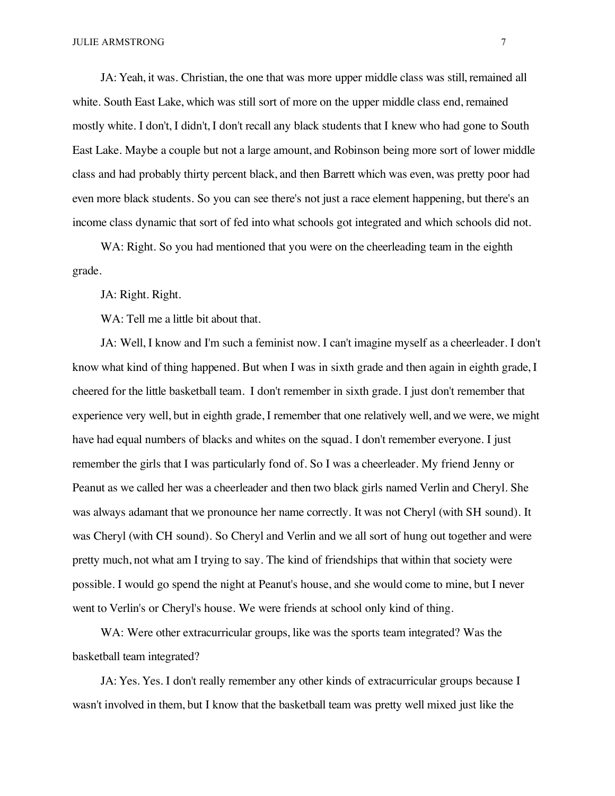JA: Yeah, it was. Christian, the one that was more upper middle class was still, remained all white. South East Lake, which was still sort of more on the upper middle class end, remained mostly white. I don't, I didn't, I don't recall any black students that I knew who had gone to South East Lake. Maybe a couple but not a large amount, and Robinson being more sort of lower middle class and had probably thirty percent black, and then Barrett which was even, was pretty poor had even more black students. So you can see there's not just a race element happening, but there's an income class dynamic that sort of fed into what schools got integrated and which schools did not.

WA: Right. So you had mentioned that you were on the cheerleading team in the eighth grade.

JA: Right. Right.

WA: Tell me a little bit about that.

JA: Well, I know and I'm such a feminist now. I can't imagine myself as a cheerleader. I don't know what kind of thing happened. But when I was in sixth grade and then again in eighth grade, I cheered for the little basketball team. I don't remember in sixth grade. I just don't remember that experience very well, but in eighth grade, I remember that one relatively well, and we were, we might have had equal numbers of blacks and whites on the squad. I don't remember everyone. I just remember the girls that I was particularly fond of. So I was a cheerleader. My friend Jenny or Peanut as we called her was a cheerleader and then two black girls named Verlin and Cheryl. She was always adamant that we pronounce her name correctly. It was not Cheryl (with SH sound). It was Cheryl (with CH sound). So Cheryl and Verlin and we all sort of hung out together and were pretty much, not what am I trying to say. The kind of friendships that within that society were possible. I would go spend the night at Peanut's house, and she would come to mine, but I never went to Verlin's or Cheryl's house. We were friends at school only kind of thing.

WA: Were other extracurricular groups, like was the sports team integrated? Was the basketball team integrated?

JA: Yes. Yes. I don't really remember any other kinds of extracurricular groups because I wasn't involved in them, but I know that the basketball team was pretty well mixed just like the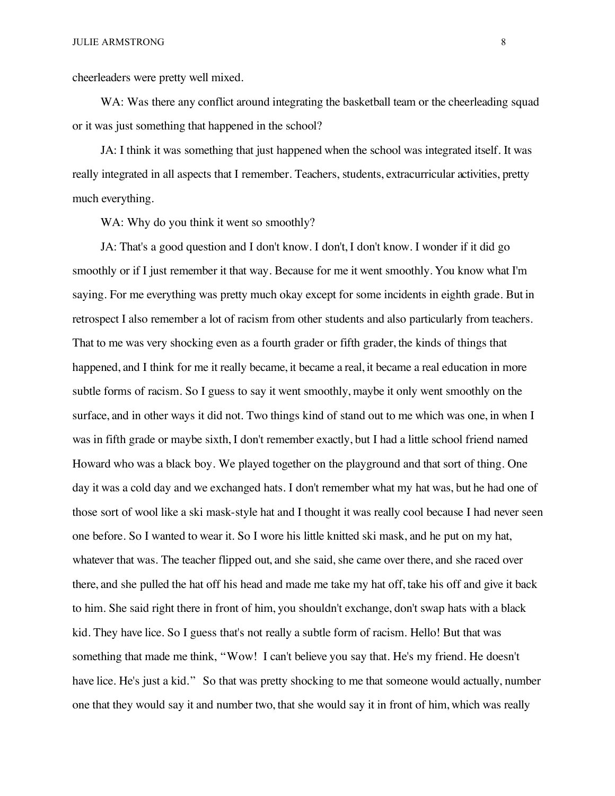cheerleaders were pretty well mixed.

WA: Was there any conflict around integrating the basketball team or the cheerleading squad or it was just something that happened in the school?

JA: I think it was something that just happened when the school was integrated itself. It was really integrated in all aspects that I remember. Teachers, students, extracurricular activities, pretty much everything.

WA: Why do you think it went so smoothly?

JA: That's a good question and I don't know. I don't, I don't know. I wonder if it did go smoothly or if I just remember it that way. Because for me it went smoothly. You know what I'm saying. For me everything was pretty much okay except for some incidents in eighth grade. But in retrospect I also remember a lot of racism from other students and also particularly from teachers. That to me was very shocking even as a fourth grader or fifth grader, the kinds of things that happened, and I think for me it really became, it became a real, it became a real education in more subtle forms of racism. So I guess to say it went smoothly, maybe it only went smoothly on the surface, and in other ways it did not. Two things kind of stand out to me which was one, in when I was in fifth grade or maybe sixth, I don't remember exactly, but I had a little school friend named Howard who was a black boy. We played together on the playground and that sort of thing. One day it was a cold day and we exchanged hats. I don't remember what my hat was, but he had one of those sort of wool like a ski mask-style hat and I thought it was really cool because I had never seen one before. So I wanted to wear it. So I wore his little knitted ski mask, and he put on my hat, whatever that was. The teacher flipped out, and she said, she came over there, and she raced over there, and she pulled the hat off his head and made me take my hat off, take his off and give it back to him. She said right there in front of him, you shouldn't exchange, don't swap hats with a black kid. They have lice. So I guess that's not really a subtle form of racism. Hello! But that was something that made me think, "Wow! I can't believe you say that. He's my friend. He doesn't have lice. He's just a kid." So that was pretty shocking to me that someone would actually, number one that they would say it and number two, that she would say it in front of him, which was really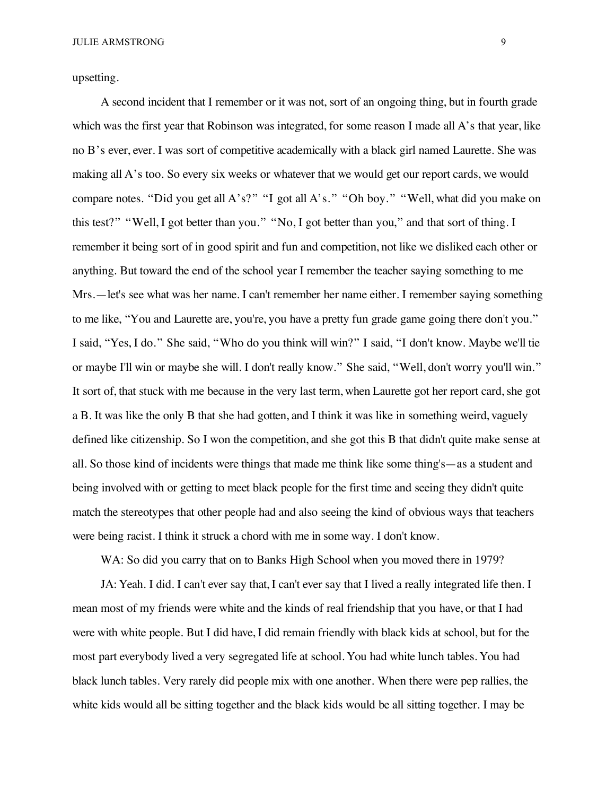upsetting.

A second incident that I remember or it was not, sort of an ongoing thing, but in fourth grade which was the first year that Robinson was integrated, for some reason I made all A's that year, like no B's ever, ever. I was sort of competitive academically with a black girl named Laurette. She was making all A's too. So every six weeks or whatever that we would get our report cards, we would compare notes. "Did you get all A's?" "I got all A's." "Oh boy." "Well, what did you make on this test?" "Well, I got better than you." "No, I got better than you," and that sort of thing. I remember it being sort of in good spirit and fun and competition, not like we disliked each other or anything. But toward the end of the school year I remember the teacher saying something to me Mrs.—let's see what was her name. I can't remember her name either. I remember saying something to me like, "You and Laurette are, you're, you have a pretty fun grade game going there don't you." I said, "Yes, I do." She said, "Who do you think will win?" I said, "I don't know. Maybe we'll tie or maybe I'll win or maybe she will. I don't really know." She said, "Well, don't worry you'll win." It sort of, that stuck with me because in the very last term, when Laurette got her report card, she got a B. It was like the only B that she had gotten, and I think it was like in something weird, vaguely defined like citizenship. So I won the competition, and she got this B that didn't quite make sense at all. So those kind of incidents were things that made me think like some thing's—as a student and being involved with or getting to meet black people for the first time and seeing they didn't quite match the stereotypes that other people had and also seeing the kind of obvious ways that teachers were being racist. I think it struck a chord with me in some way. I don't know.

WA: So did you carry that on to Banks High School when you moved there in 1979?

JA: Yeah. I did. I can't ever say that, I can't ever say that I lived a really integrated life then. I mean most of my friends were white and the kinds of real friendship that you have, or that I had were with white people. But I did have, I did remain friendly with black kids at school, but for the most part everybody lived a very segregated life at school. You had white lunch tables. You had black lunch tables. Very rarely did people mix with one another. When there were pep rallies, the white kids would all be sitting together and the black kids would be all sitting together. I may be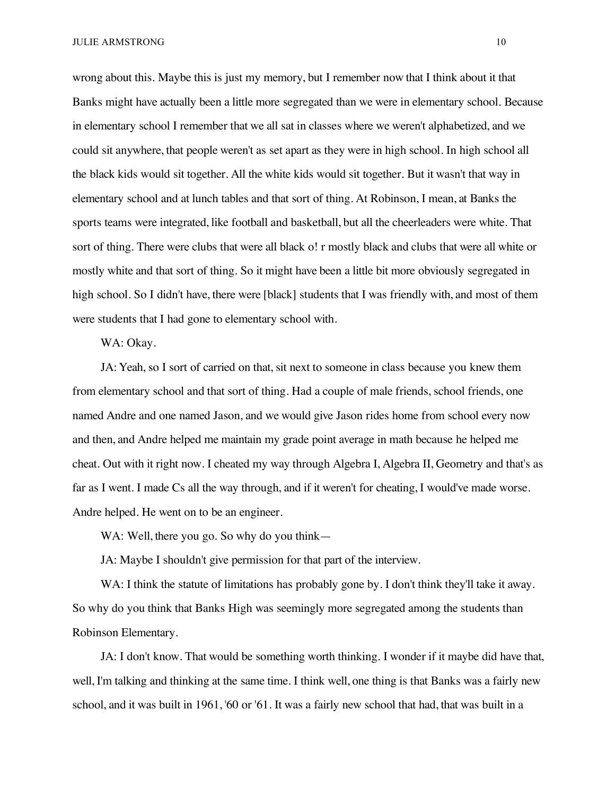wrong about this. Maybe this is just my memory, but I remember now that I think about it that Banks might have actually been a little more segregated than we were in elementary school. Because in elementary school I remember that we all sat in classes where we weren't alphabetized, and we could sit anywhere, that people weren't as set apart as they were in high school. In high school all the black kids would sit together. All the white kids would sit together. But it wasn't that way in elementary school and at lunch tables and that sort of thing. At Robinson, I mean, at Banks the sports teams were integrated, like football and basketball, but all the cheerleaders were white. That sort of thing. There were clubs that were all black o! r mostly black and clubs that were all white or mostly white and that sort of thing. So it might have been a little bit more obviously segregated in high school. So I didn't have, there were [black] students that I was friendly with, and most of them were students that I had gone to elementary school with.

WA: Okay.

JA: Yeah, so I sort of carried on that, sit next to someone in class because you knew them from elementary school and that sort of thing. Had a couple of male friends, school friends, one named Andre and one named Jason, and we would give Jason rides home from school every now and then, and Andre helped me maintain my grade point average in math because he helped me cheat. Out with it right now. I cheated my way through Algebra I, Algebra II, Geometry and that's as far as I went. I made Cs all the way through, and if it weren't for cheating, I would've made worse. Andre helped. He went on to be an engineer.

WA: Well, there you go. So why do you think—

JA: Maybe I shouldn't give permission for that part of the interview.

WA: I think the statute of limitations has probably gone by. I don't think they'll take it away. So why do you think that Banks High was seemingly more segregated among the students than Robinson Elementary.

JA: I don't know. That would be something worth thinking. I wonder if it maybe did have that, well, I'm talking and thinking at the same time. I think well, one thing is that Banks was a fairly new school, and it was built in 1961, '60 or '61. It was a fairly new school that had, that was built in a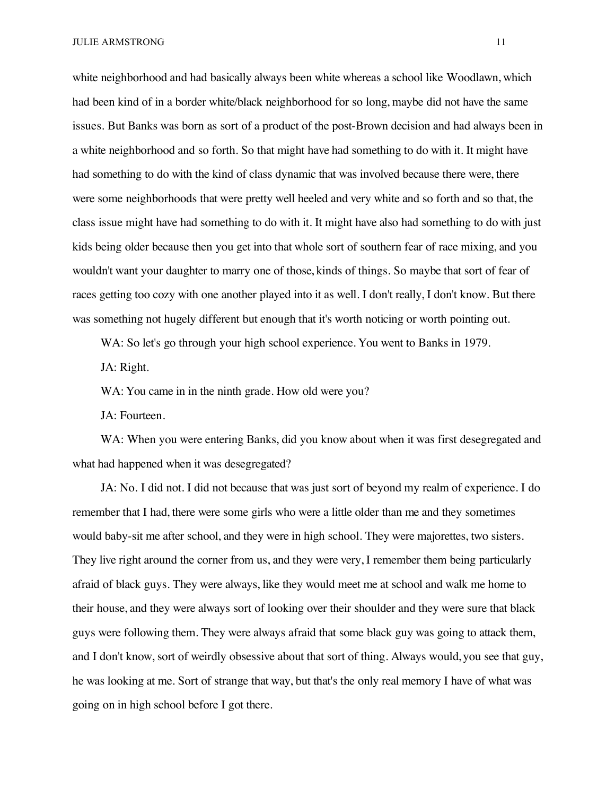white neighborhood and had basically always been white whereas a school like Woodlawn, which had been kind of in a border white/black neighborhood for so long, maybe did not have the same issues. But Banks was born as sort of a product of the post-Brown decision and had always been in a white neighborhood and so forth. So that might have had something to do with it. It might have had something to do with the kind of class dynamic that was involved because there were, there were some neighborhoods that were pretty well heeled and very white and so forth and so that, the class issue might have had something to do with it. It might have also had something to do with just kids being older because then you get into that whole sort of southern fear of race mixing, and you wouldn't want your daughter to marry one of those, kinds of things. So maybe that sort of fear of races getting too cozy with one another played into it as well. I don't really, I don't know. But there was something not hugely different but enough that it's worth noticing or worth pointing out.

WA: So let's go through your high school experience. You went to Banks in 1979.

JA: Right.

WA: You came in in the ninth grade. How old were you?

JA: Fourteen.

WA: When you were entering Banks, did you know about when it was first desegregated and what had happened when it was desegregated?

JA: No. I did not. I did not because that was just sort of beyond my realm of experience. I do remember that I had, there were some girls who were a little older than me and they sometimes would baby-sit me after school, and they were in high school. They were majorettes, two sisters. They live right around the corner from us, and they were very, I remember them being particularly afraid of black guys. They were always, like they would meet me at school and walk me home to their house, and they were always sort of looking over their shoulder and they were sure that black guys were following them. They were always afraid that some black guy was going to attack them, and I don't know, sort of weirdly obsessive about that sort of thing. Always would, you see that guy, he was looking at me. Sort of strange that way, but that's the only real memory I have of what was going on in high school before I got there.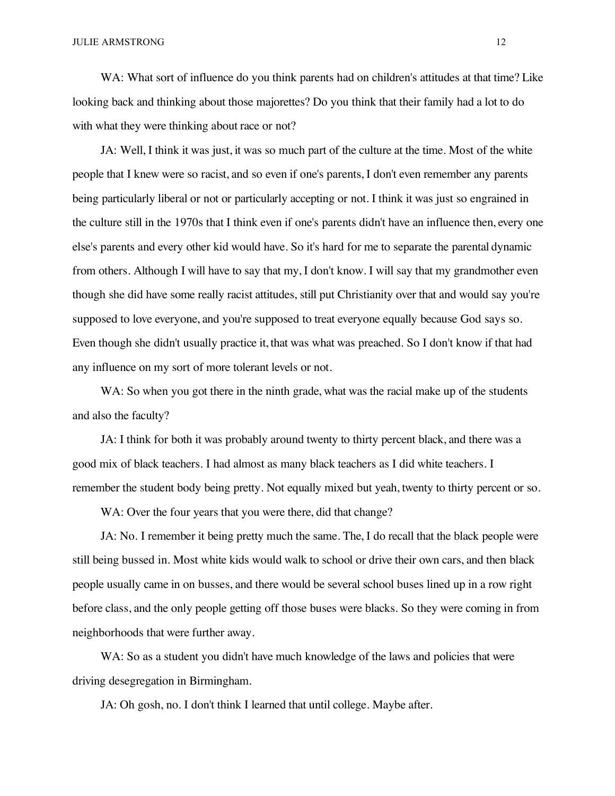WA: What sort of influence do you think parents had on children's attitudes at that time? Like looking back and thinking about those majorettes? Do you think that their family had a lot to do with what they were thinking about race or not?

JA: Well, I think it was just, it was so much part of the culture at the time. Most of the white people that I knew were so racist, and so even if one's parents, I don't even remember any parents being particularly liberal or not or particularly accepting or not. I think it was just so engrained in the culture still in the 1970s that I think even if one's parents didn't have an influence then, every one else's parents and every other kid would have. So it's hard for me to separate the parental dynamic from others. Although I will have to say that my, I don't know. I will say that my grandmother even though she did have some really racist attitudes, still put Christianity over that and would say you're supposed to love everyone, and you're supposed to treat everyone equally because God says so. Even though she didn't usually practice it, that was what was preached. So I don't know if that had any influence on my sort of more tolerant levels or not.

WA: So when you got there in the ninth grade, what was the racial make up of the students and also the faculty?

JA: I think for both it was probably around twenty to thirty percent black, and there was a good mix of black teachers. I had almost as many black teachers as I did white teachers. I remember the student body being pretty. Not equally mixed but yeah, twenty to thirty percent or so.

WA: Over the four years that you were there, did that change?

JA: No. I remember it being pretty much the same. The, I do recall that the black people were still being bussed in. Most white kids would walk to school or drive their own cars, and then black people usually came in on busses, and there would be several school buses lined up in a row right before class, and the only people getting off those buses were blacks. So they were coming in from neighborhoods that were further away.

WA: So as a student you didn't have much knowledge of the laws and policies that were driving desegregation in Birmingham.

JA: Oh gosh, no. I don't think I learned that until college. Maybe after.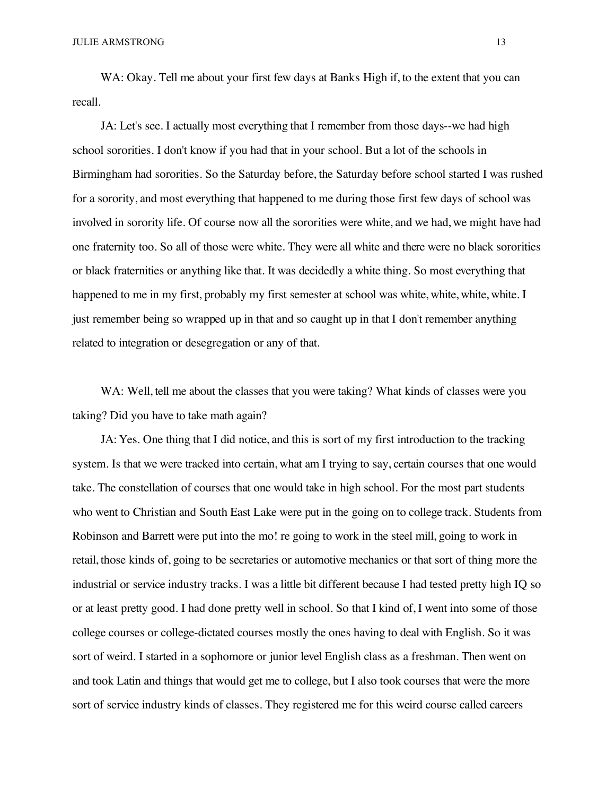WA: Okay. Tell me about your first few days at Banks High if, to the extent that you can recall.

JA: Let's see. I actually most everything that I remember from those days--we had high school sororities. I don't know if you had that in your school. But a lot of the schools in Birmingham had sororities. So the Saturday before, the Saturday before school started I was rushed for a sorority, and most everything that happened to me during those first few days of school was involved in sorority life. Of course now all the sororities were white, and we had, we might have had one fraternity too. So all of those were white. They were all white and there were no black sororities or black fraternities or anything like that. It was decidedly a white thing. So most everything that happened to me in my first, probably my first semester at school was white, white, white, white. I just remember being so wrapped up in that and so caught up in that I don't remember anything related to integration or desegregation or any of that.

WA: Well, tell me about the classes that you were taking? What kinds of classes were you taking? Did you have to take math again?

JA: Yes. One thing that I did notice, and this is sort of my first introduction to the tracking system. Is that we were tracked into certain, what am I trying to say, certain courses that one would take. The constellation of courses that one would take in high school. For the most part students who went to Christian and South East Lake were put in the going on to college track. Students from Robinson and Barrett were put into the mo! re going to work in the steel mill, going to work in retail, those kinds of, going to be secretaries or automotive mechanics or that sort of thing more the industrial or service industry tracks. I was a little bit different because I had tested pretty high IQ so or at least pretty good. I had done pretty well in school. So that I kind of, I went into some of those college courses or college-dictated courses mostly the ones having to deal with English. So it was sort of weird. I started in a sophomore or junior level English class as a freshman. Then went on and took Latin and things that would get me to college, but I also took courses that were the more sort of service industry kinds of classes. They registered me for this weird course called careers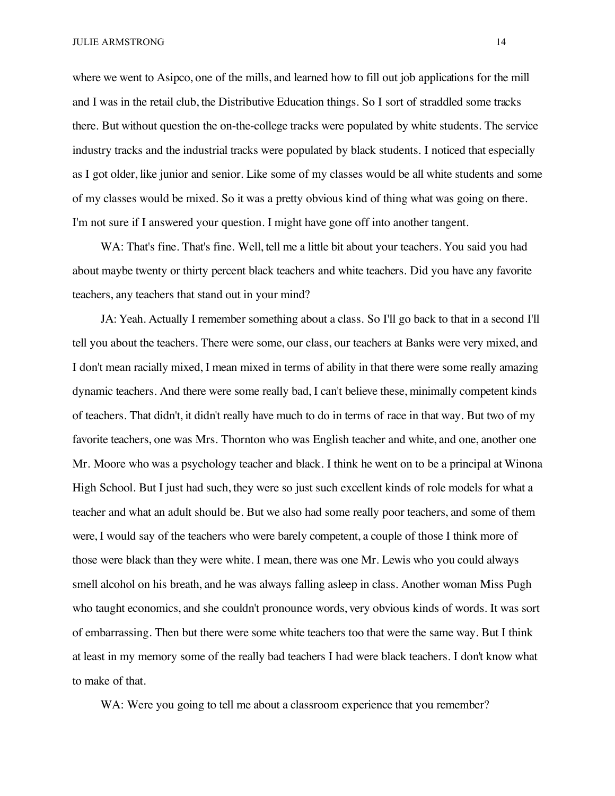where we went to Asipco, one of the mills, and learned how to fill out job applications for the mill and I was in the retail club, the Distributive Education things. So I sort of straddled some tracks there. But without question the on-the-college tracks were populated by white students. The service industry tracks and the industrial tracks were populated by black students. I noticed that especially as I got older, like junior and senior. Like some of my classes would be all white students and some of my classes would be mixed. So it was a pretty obvious kind of thing what was going on there. I'm not sure if I answered your question. I might have gone off into another tangent.

WA: That's fine. That's fine. Well, tell me a little bit about your teachers. You said you had about maybe twenty or thirty percent black teachers and white teachers. Did you have any favorite teachers, any teachers that stand out in your mind?

JA: Yeah. Actually I remember something about a class. So I'll go back to that in a second I'll tell you about the teachers. There were some, our class, our teachers at Banks were very mixed, and I don't mean racially mixed, I mean mixed in terms of ability in that there were some really amazing dynamic teachers. And there were some really bad, I can't believe these, minimally competent kinds of teachers. That didn't, it didn't really have much to do in terms of race in that way. But two of my favorite teachers, one was Mrs. Thornton who was English teacher and white, and one, another one Mr. Moore who was a psychology teacher and black. I think he went on to be a principal at Winona High School. But I just had such, they were so just such excellent kinds of role models for what a teacher and what an adult should be. But we also had some really poor teachers, and some of them were, I would say of the teachers who were barely competent, a couple of those I think more of those were black than they were white. I mean, there was one Mr. Lewis who you could always smell alcohol on his breath, and he was always falling asleep in class. Another woman Miss Pugh who taught economics, and she couldn't pronounce words, very obvious kinds of words. It was sort of embarrassing. Then but there were some white teachers too that were the same way. But I think at least in my memory some of the really bad teachers I had were black teachers. I don't know what to make of that.

WA: Were you going to tell me about a classroom experience that you remember?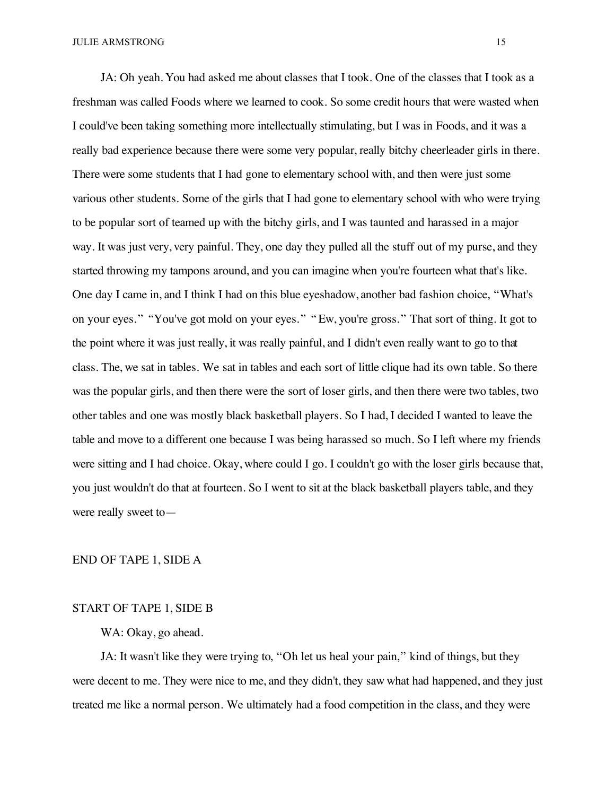JA: Oh yeah. You had asked me about classes that I took. One of the classes that I took as a freshman was called Foods where we learned to cook. So some credit hours that were wasted when I could've been taking something more intellectually stimulating, but I was in Foods, and it was a really bad experience because there were some very popular, really bitchy cheerleader girls in there. There were some students that I had gone to elementary school with, and then were just some various other students. Some of the girls that I had gone to elementary school with who were trying to be popular sort of teamed up with the bitchy girls, and I was taunted and harassed in a major way. It was just very, very painful. They, one day they pulled all the stuff out of my purse, and they started throwing my tampons around, and you can imagine when you're fourteen what that's like. One day I came in, and I think I had on this blue eyeshadow, another bad fashion choice, "What's on your eyes. " "You've got mold on your eyes. " " Ew, you're gross. " That sort of thing. It got to the point where it was just really, it was really painful, and I didn't even really want to go to that class. The, we sat in tables. We sat in tables and each sort of little clique had its own table. So there was the popular girls, and then there were the sort of loser girls, and then there were two tables, two other tables and one was mostly black basketball players. So I had, I decided I wanted to leave the table and move to a different one because I was being harassed so much. So I left where my friends were sitting and I had choice. Okay, where could I go. I couldn't go with the loser girls because that, you just wouldn't do that at fourteen. So I went to sit at the black basketball players table, and they were really sweet to—

### END OF TAPE 1, SIDE A

## START OF TAPE 1, SIDE B

# WA: Okay, go ahead.

JA: It wasn't like they were trying to, "Oh let us heal your pain," kind of things, but they were decent to me. They were nice to me, and they didn't, they saw what had happened, and they just treated me like a normal person. We ultimately had a food competition in the class, and they were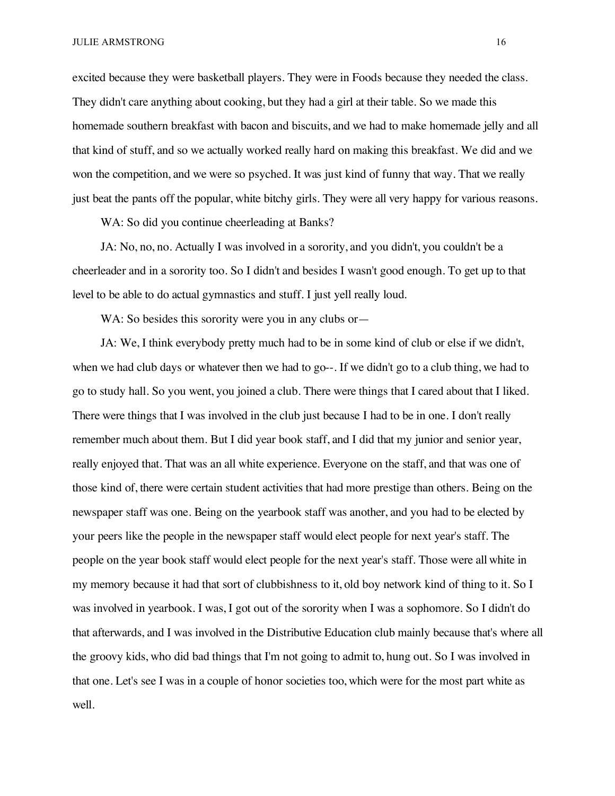excited because they were basketball players. They were in Foods because they needed the class. They didn't care anything about cooking, but they had a girl at their table. So we made this homemade southern breakfast with bacon and biscuits, and we had to make homemade jelly and all that kind of stuff, and so we actually worked really hard on making this breakfast. We did and we won the competition, and we were so psyched. It was just kind of funny that way. That we really just beat the pants off the popular, white bitchy girls. They were all very happy for various reasons.

WA: So did you continue cheerleading at Banks?

JA: No, no, no. Actually I was involved in a sorority, and you didn't, you couldn't be a cheerleader and in a sorority too. So I didn't and besides I wasn't good enough. To get up to that level to be able to do actual gymnastics and stuff. I just yell really loud.

WA: So besides this sorority were you in any clubs or—

JA: We, I think everybody pretty much had to be in some kind of club or else if we didn't, when we had club days or whatever then we had to go--. If we didn't go to a club thing, we had to go to study hall. So you went, you joined a club. There were things that I cared about that I liked. There were things that I was involved in the club just because I had to be in one. I don't really remember much about them. But I did year book staff, and I did that my junior and senior year, really enjoyed that. That was an all white experience. Everyone on the staff, and that was one of those kind of, there were certain student activities that had more prestige than others. Being on the newspaper staff was one. Being on the yearbook staff was another, and you had to be elected by your peers like the people in the newspaper staff would elect people for next year's staff. The people on the year book staff would elect people for the next year's staff. Those were all white in my memory because it had that sort of clubbishness to it, old boy network kind of thing to it. So I was involved in yearbook. I was, I got out of the sorority when I was a sophomore. So I didn't do that afterwards, and I was involved in the Distributive Education club mainly because that's where all the groovy kids, who did bad things that I'm not going to admit to, hung out. So I was involved in that one. Let's see I was in a couple of honor societies too, which were for the most part white as well.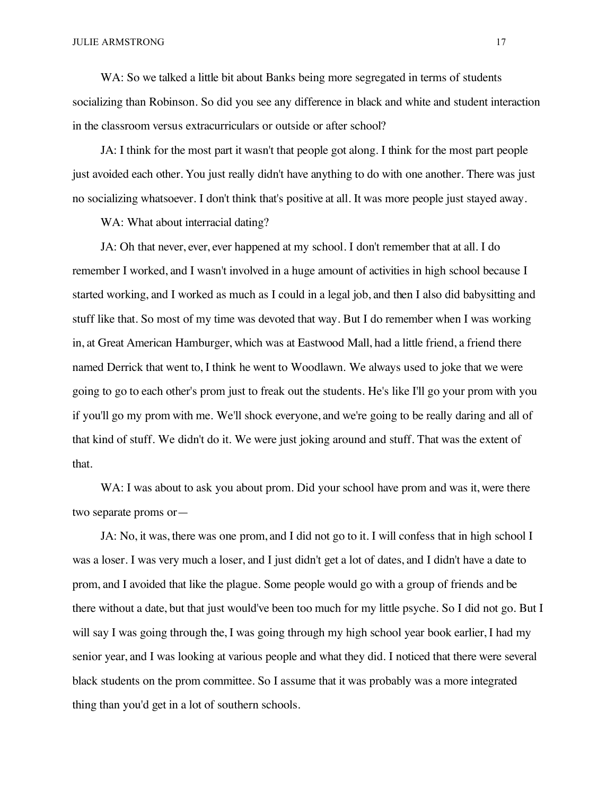WA: So we talked a little bit about Banks being more segregated in terms of students socializing than Robinson. So did you see any difference in black and white and student interaction in the classroom versus extracurriculars or outside or after school?

JA: I think for the most part it wasn't that people got along. I think for the most part people just avoided each other. You just really didn't have anything to do with one another. There was just no socializing whatsoever. I don't think that's positive at all. It was more people just stayed away.

WA: What about interracial dating?

JA: Oh that never, ever, ever happened at my school. I don't remember that at all. I do remember I worked, and I wasn't involved in a huge amount of activities in high school because I started working, and I worked as much as I could in a legal job, and then I also did babysitting and stuff like that. So most of my time was devoted that way. But I do remember when I was working in, at Great American Hamburger, which was at Eastwood Mall, had a little friend, a friend there named Derrick that went to, I think he went to Woodlawn. We always used to joke that we were going to go to each other's prom just to freak out the students. He's like I'll go your prom with you if you'll go my prom with me. We'll shock everyone, and we're going to be really daring and all of that kind of stuff. We didn't do it. We were just joking around and stuff. That was the extent of that.

WA: I was about to ask you about prom. Did your school have prom and was it, were there two separate proms or—

JA: No, it was, there was one prom, and I did not go to it. I will confess that in high school I was a loser. I was very much a loser, and I just didn't get a lot of dates, and I didn't have a date to prom, and I avoided that like the plague. Some people would go with a group of friends and be there without a date, but that just would've been too much for my little psyche. So I did not go. But I will say I was going through the, I was going through my high school year book earlier, I had my senior year, and I was looking at various people and what they did. I noticed that there were several black students on the prom committee. So I assume that it was probably was a more integrated thing than you'd get in a lot of southern schools.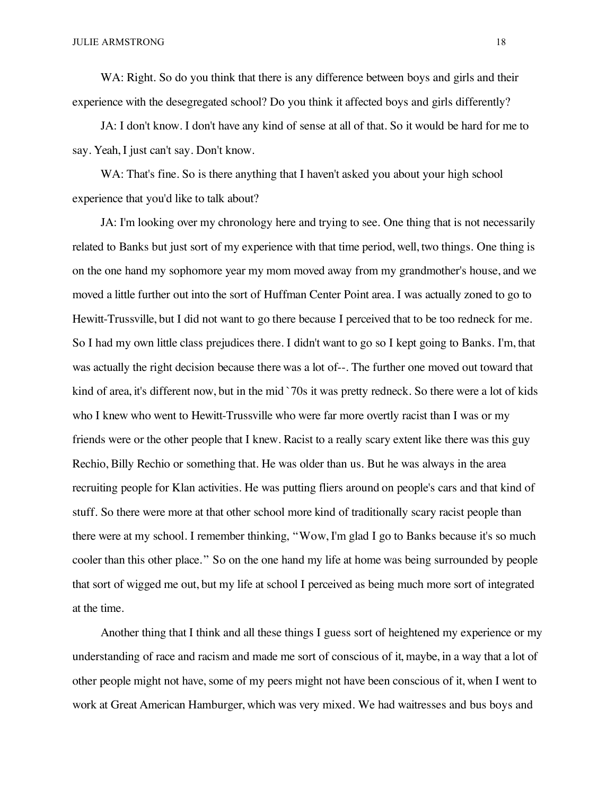WA: Right. So do you think that there is any difference between boys and girls and their experience with the desegregated school? Do you think it affected boys and girls differently?

JA: I don't know. I don't have any kind of sense at all of that. So it would be hard for me to say. Yeah, I just can't say. Don't know.

WA: That's fine. So is there anything that I haven't asked you about your high school experience that you'd like to talk about?

JA: I'm looking over my chronology here and trying to see. One thing that is not necessarily related to Banks but just sort of my experience with that time period, well, two things. One thing is on the one hand my sophomore year my mom moved away from my grandmother's house, and we moved a little further out into the sort of Huffman Center Point area. I was actually zoned to go to Hewitt-Trussville, but I did not want to go there because I perceived that to be too redneck for me. So I had my own little class prejudices there. I didn't want to go so I kept going to Banks. I'm, that was actually the right decision because there was a lot of--. The further one moved out toward that kind of area, it's different now, but in the mid `70s it was pretty redneck. So there were a lot of kids who I knew who went to Hewitt-Trussville who were far more overtly racist than I was or my friends were or the other people that I knew. Racist to a really scary extent like there was this guy Rechio, Billy Rechio or something that. He was older than us. But he was always in the area recruiting people for Klan activities. He was putting fliers around on people's cars and that kind of stuff. So there were more at that other school more kind of traditionally scary racist people than there were at my school. I remember thinking, "Wow, I'm glad I go to Banks because it's so much cooler than this other place." So on the one hand my life at home was being surrounded by people that sort of wigged me out, but my life at school I perceived as being much more sort of integrated at the time.

Another thing that I think and all these things I guess sort of heightened my experience or my understanding of race and racism and made me sort of conscious of it, maybe, in a way that a lot of other people might not have, some of my peers might not have been conscious of it, when I went to work at Great American Hamburger, which was very mixed. We had waitresses and bus boys and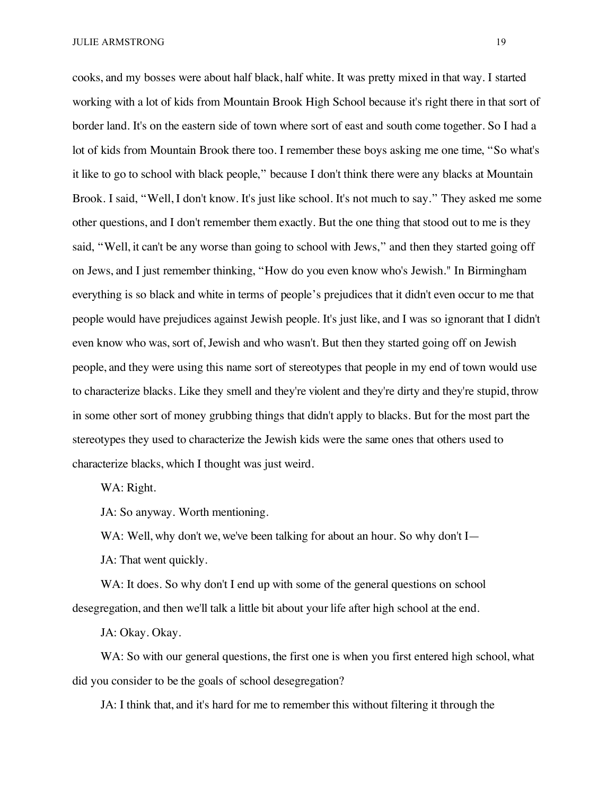JULIE ARMSTRONG 19

cooks, and my bosses were about half black, half white. It was pretty mixed in that way. I started working with a lot of kids from Mountain Brook High School because it's right there in that sort of border land. It's on the eastern side of town where sort of east and south come together. So I had a lot of kids from Mountain Brook there too. I remember these boys asking me one time, "So what's it like to go to school with black people," because I don't think there were any blacks at Mountain Brook. I said, "Well, I don't know. It's just like school. It's not much to say." They asked me some other questions, and I don't remember them exactly. But the one thing that stood out to me is they said, "Well, it can't be any worse than going to school with Jews," and then they started going off on Jews, and I just remember thinking, "How do you even know who's Jewish." In Birmingham everything is so black and white in terms of people's prejudices that it didn't even occur to me that people would have prejudices against Jewish people. It's just like, and I was so ignorant that I didn't even know who was, sort of, Jewish and who wasn't. But then they started going off on Jewish people, and they were using this name sort of stereotypes that people in my end of town would use to characterize blacks. Like they smell and they're violent and they're dirty and they're stupid, throw in some other sort of money grubbing things that didn't apply to blacks. But for the most part the stereotypes they used to characterize the Jewish kids were the same ones that others used to characterize blacks, which I thought was just weird.

WA: Right.

JA: So anyway. Worth mentioning.

WA: Well, why don't we, we've been talking for about an hour. So why don't I—

JA: That went quickly.

WA: It does. So why don't I end up with some of the general questions on school desegregation, and then we'll talk a little bit about your life after high school at the end.

JA: Okay. Okay.

WA: So with our general questions, the first one is when you first entered high school, what did you consider to be the goals of school desegregation?

JA: I think that, and it's hard for me to remember this without filtering it through the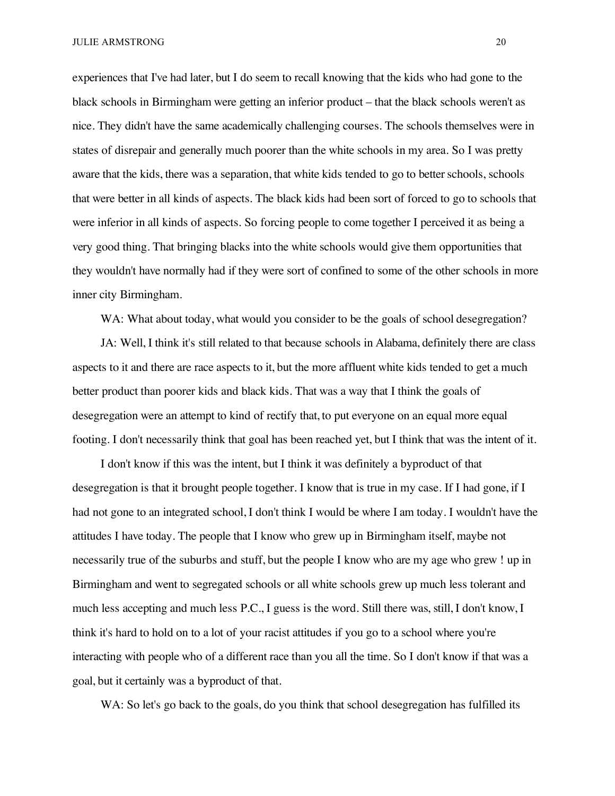experiences that I've had later, but I do seem to recall knowing that the kids who had gone to the black schools in Birmingham were getting an inferior product – that the black schools weren't as nice. They didn't have the same academically challenging courses. The schools themselves were in states of disrepair and generally much poorer than the white schools in my area. So I was pretty aware that the kids, there was a separation, that white kids tended to go to better schools, schools that were better in all kinds of aspects. The black kids had been sort of forced to go to schools that were inferior in all kinds of aspects. So forcing people to come together I perceived it as being a very good thing. That bringing blacks into the white schools would give them opportunities that they wouldn't have normally had if they were sort of confined to some of the other schools in more inner city Birmingham.

WA: What about today, what would you consider to be the goals of school desegregation?

JA: Well, I think it's still related to that because schools in Alabama, definitely there are class aspects to it and there are race aspects to it, but the more affluent white kids tended to get a much better product than poorer kids and black kids. That was a way that I think the goals of desegregation were an attempt to kind of rectify that, to put everyone on an equal more equal footing. I don't necessarily think that goal has been reached yet, but I think that was the intent of it.

I don't know if this was the intent, but I think it was definitely a byproduct of that desegregation is that it brought people together. I know that is true in my case. If I had gone, if I had not gone to an integrated school, I don't think I would be where I am today. I wouldn't have the attitudes I have today. The people that I know who grew up in Birmingham itself, maybe not necessarily true of the suburbs and stuff, but the people I know who are my age who grew ! up in Birmingham and went to segregated schools or all white schools grew up much less tolerant and much less accepting and much less P.C., I guess is the word. Still there was, still, I don't know, I think it's hard to hold on to a lot of your racist attitudes if you go to a school where you're interacting with people who of a different race than you all the time. So I don't know if that was a goal, but it certainly was a byproduct of that.

WA: So let's go back to the goals, do you think that school desegregation has fulfilled its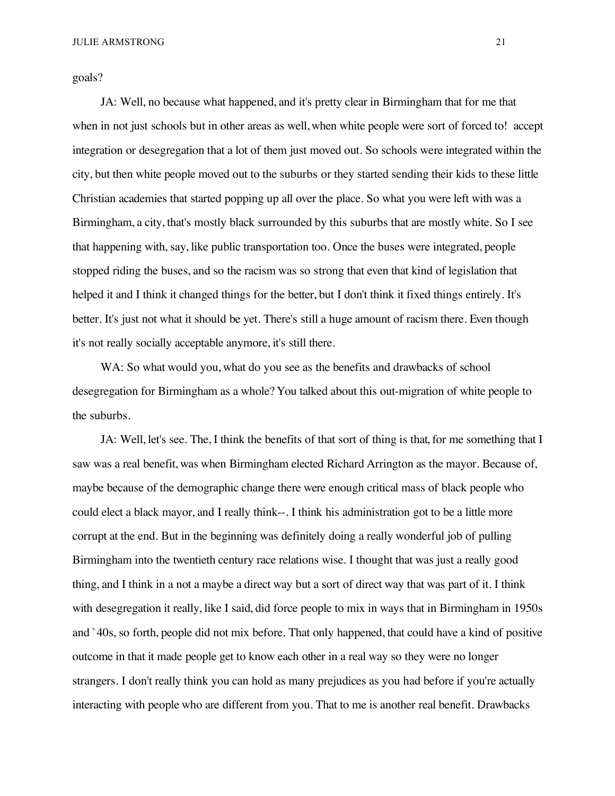goals?

JA: Well, no because what happened, and it's pretty clear in Birmingham that for me that when in not just schools but in other areas as well, when white people were sort of forced to! accept integration or desegregation that a lot of them just moved out. So schools were integrated within the city, but then white people moved out to the suburbs or they started sending their kids to these little Christian academies that started popping up all over the place. So what you were left with was a Birmingham, a city, that's mostly black surrounded by this suburbs that are mostly white. So I see that happening with, say, like public transportation too. Once the buses were integrated, people stopped riding the buses, and so the racism was so strong that even that kind of legislation that helped it and I think it changed things for the better, but I don't think it fixed things entirely. It's better. It's just not what it should be yet. There's still a huge amount of racism there. Even though it's not really socially acceptable anymore, it's still there.

WA: So what would you, what do you see as the benefits and drawbacks of school desegregation for Birmingham as a whole? You talked about this out-migration of white people to the suburbs.

JA: Well, let's see. The, I think the benefits of that sort of thing is that, for me something that I saw was a real benefit, was when Birmingham elected Richard Arrington as the mayor. Because of, maybe because of the demographic change there were enough critical mass of black people who could elect a black mayor, and I really think--. I think his administration got to be a little more corrupt at the end. But in the beginning was definitely doing a really wonderful job of pulling Birmingham into the twentieth century race relations wise. I thought that was just a really good thing, and I think in a not a maybe a direct way but a sort of direct way that was part of it. I think with desegregation it really, like I said, did force people to mix in ways that in Birmingham in 1950s and `40s, so forth, people did not mix before. That only happened, that could have a kind of positive outcome in that it made people get to know each other in a real way so they were no longer strangers. I don't really think you can hold as many prejudices as you had before if you're actually interacting with people who are different from you. That to me is another real benefit. Drawbacks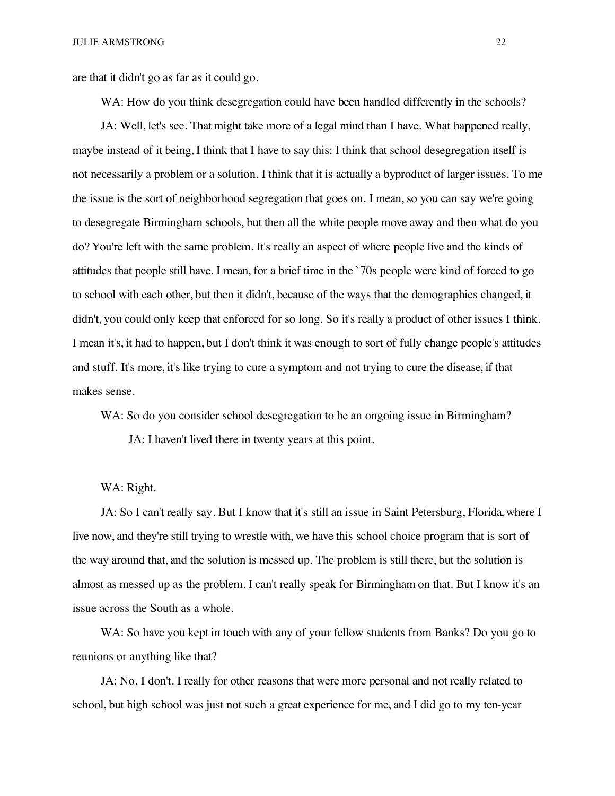are that it didn't go as far as it could go.

WA: How do you think desegregation could have been handled differently in the schools?

JA: Well, let's see. That might take more of a legal mind than I have. What happened really, maybe instead of it being, I think that I have to say this: I think that school desegregation itself is not necessarily a problem or a solution. I think that it is actually a byproduct of larger issues. To me the issue is the sort of neighborhood segregation that goes on. I mean, so you can say we're going to desegregate Birmingham schools, but then all the white people move away and then what do you do? You're left with the same problem. It's really an aspect of where people live and the kinds of attitudes that people still have. I mean, for a brief time in the `70s people were kind of forced to go to school with each other, but then it didn't, because of the ways that the demographics changed, it didn't, you could only keep that enforced for so long. So it's really a product of other issues I think. I mean it's, it had to happen, but I don't think it was enough to sort of fully change people's attitudes and stuff. It's more, it's like trying to cure a symptom and not trying to cure the disease, if that makes sense.

WA: So do you consider school desegregation to be an ongoing issue in Birmingham?

JA: I haven't lived there in twenty years at this point.

#### WA: Right.

JA: So I can't really say. But I know that it's still an issue in Saint Petersburg, Florida, where I live now, and they're still trying to wrestle with, we have this school choice program that is sort of the way around that, and the solution is messed up. The problem is still there, but the solution is almost as messed up as the problem. I can't really speak for Birmingham on that. But I know it's an issue across the South as a whole.

WA: So have you kept in touch with any of your fellow students from Banks? Do you go to reunions or anything like that?

JA: No. I don't. I really for other reasons that were more personal and not really related to school, but high school was just not such a great experience for me, and I did go to my ten-year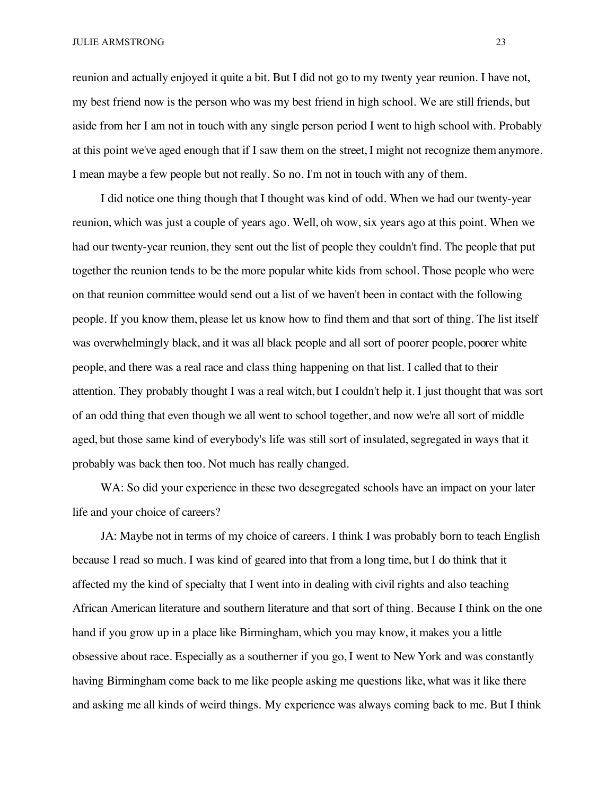JULIE ARMSTRONG 23

reunion and actually enjoyed it quite a bit. But I did not go to my twenty year reunion. I have not, my best friend now is the person who was my best friend in high school. We are still friends, but aside from her I am not in touch with any single person period I went to high school with. Probably at this point we've aged enough that if I saw them on the street, I might not recognize them anymore. I mean maybe a few people but not really. So no. I'm not in touch with any of them.

I did notice one thing though that I thought was kind of odd. When we had our twenty-year reunion, which was just a couple of years ago. Well, oh wow, six years ago at this point. When we had our twenty-year reunion, they sent out the list of people they couldn't find. The people that put together the reunion tends to be the more popular white kids from school. Those people who were on that reunion committee would send out a list of we haven't been in contact with the following people. If you know them, please let us know how to find them and that sort of thing. The list itself was overwhelmingly black, and it was all black people and all sort of poorer people, poorer white people, and there was a real race and class thing happening on that list. I called that to their attention. They probably thought I was a real witch, but I couldn't help it. I just thought that was sort of an odd thing that even though we all went to school together, and now we're all sort of middle aged, but those same kind of everybody's life was still sort of insulated, segregated in ways that it probably was back then too. Not much has really changed.

WA: So did your experience in these two desegregated schools have an impact on your later life and your choice of careers?

JA: Maybe not in terms of my choice of careers. I think I was probably born to teach English because I read so much. I was kind of geared into that from a long time, but I do think that it affected my the kind of specialty that I went into in dealing with civil rights and also teaching African American literature and southern literature and that sort of thing. Because I think on the one hand if you grow up in a place like Birmingham, which you may know, it makes you a little obsessive about race. Especially as a southerner if you go, I went to New York and was constantly having Birmingham come back to me like people asking me questions like, what was it like there and asking me all kinds of weird things. My experience was always coming back to me. But I think